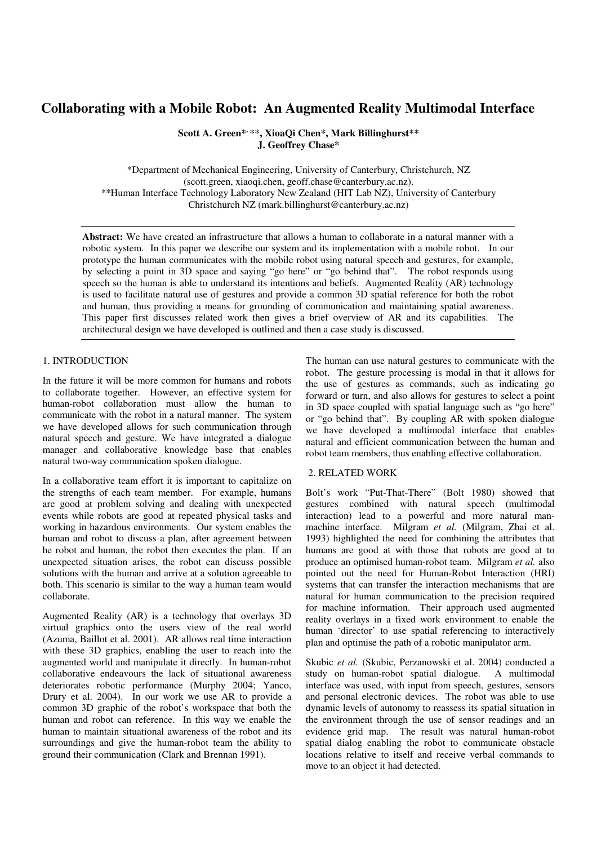# **Collaborating with a Mobile Robot: An Augmented Reality Multimodal Interface**

**Scott A. Green\*, \*\*, XioaQi Chen\*, Mark Billinghurst\*\* J. Geoffrey Chase\*** 

\*Department of Mechanical Engineering, University of Canterbury, Christchurch, NZ (scott.green, xiaoqi.chen, geoff.chase@canterbury.ac.nz). \*\*Human Interface Technology Laboratory New Zealand (HIT Lab NZ), University of Canterbury Christchurch NZ (mark.billinghurst@canterbury.ac.nz)

**Abstract:** We have created an infrastructure that allows a human to collaborate in a natural manner with a robotic system. In this paper we describe our system and its implementation with a mobile robot. In our prototype the human communicates with the mobile robot using natural speech and gestures, for example, by selecting a point in 3D space and saying "go here" or "go behind that". The robot responds using speech so the human is able to understand its intentions and beliefs. Augmented Reality (AR) technology is used to facilitate natural use of gestures and provide a common 3D spatial reference for both the robot and human, thus providing a means for grounding of communication and maintaining spatial awareness. This paper first discusses related work then gives a brief overview of AR and its capabilities. The architectural design we have developed is outlined and then a case study is discussed.

#### 1. INTRODUCTION

In the future it will be more common for humans and robots to collaborate together. However, an effective system for human-robot collaboration must allow the human to communicate with the robot in a natural manner. The system we have developed allows for such communication through natural speech and gesture. We have integrated a dialogue manager and collaborative knowledge base that enables natural two-way communication spoken dialogue.

In a collaborative team effort it is important to capitalize on the strengths of each team member. For example, humans are good at problem solving and dealing with unexpected events while robots are good at repeated physical tasks and working in hazardous environments. Our system enables the human and robot to discuss a plan, after agreement between he robot and human, the robot then executes the plan. If an unexpected situation arises, the robot can discuss possible solutions with the human and arrive at a solution agreeable to both. This scenario is similar to the way a human team would collaborate.

Augmented Reality (AR) is a technology that overlays 3D virtual graphics onto the users view of the real world (Azuma, Baillot et al. 2001). AR allows real time interaction with these 3D graphics, enabling the user to reach into the augmented world and manipulate it directly. In human-robot collaborative endeavours the lack of situational awareness deteriorates robotic performance (Murphy 2004; Yanco, Drury et al. 2004). In our work we use AR to provide a common 3D graphic of the robot's workspace that both the human and robot can reference. In this way we enable the human to maintain situational awareness of the robot and its surroundings and give the human-robot team the ability to ground their communication (Clark and Brennan 1991).

The human can use natural gestures to communicate with the robot. The gesture processing is modal in that it allows for the use of gestures as commands, such as indicating go forward or turn, and also allows for gestures to select a point in 3D space coupled with spatial language such as "go here" or "go behind that". By coupling AR with spoken dialogue we have developed a multimodal interface that enables natural and efficient communication between the human and robot team members, thus enabling effective collaboration.

#### 2. RELATED WORK

Bolt's work "Put-That-There" (Bolt 1980) showed that gestures combined with natural speech (multimodal interaction) lead to a powerful and more natural manmachine interface. Milgram *et al.* (Milgram, Zhai et al. 1993) highlighted the need for combining the attributes that humans are good at with those that robots are good at to produce an optimised human-robot team. Milgram *et al.* also pointed out the need for Human-Robot Interaction (HRI) systems that can transfer the interaction mechanisms that are natural for human communication to the precision required for machine information. Their approach used augmented reality overlays in a fixed work environment to enable the human 'director' to use spatial referencing to interactively plan and optimise the path of a robotic manipulator arm.

Skubic *et al.* (Skubic, Perzanowski et al. 2004) conducted a study on human-robot spatial dialogue. A multimodal interface was used, with input from speech, gestures, sensors and personal electronic devices. The robot was able to use dynamic levels of autonomy to reassess its spatial situation in the environment through the use of sensor readings and an evidence grid map. The result was natural human-robot spatial dialog enabling the robot to communicate obstacle locations relative to itself and receive verbal commands to move to an object it had detected.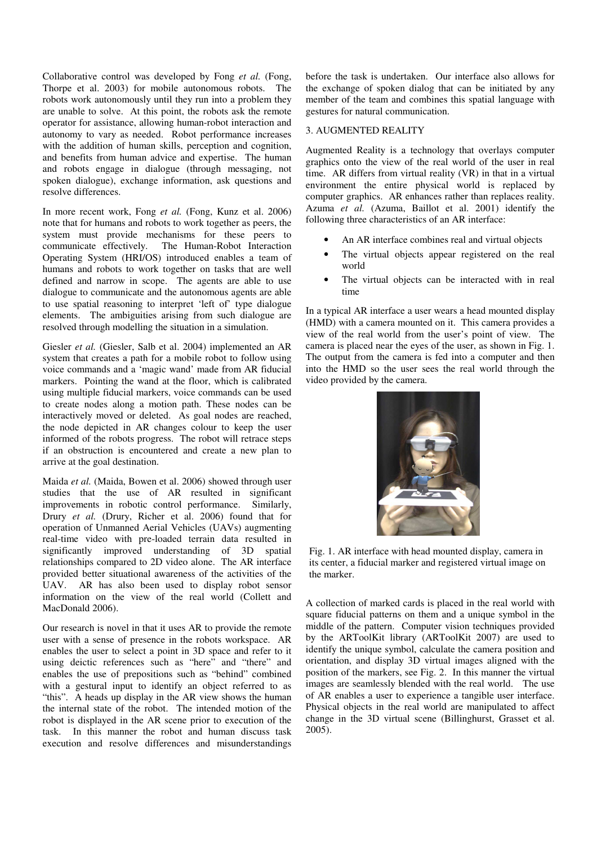Collaborative control was developed by Fong *et al.* (Fong, Thorpe et al. 2003) for mobile autonomous robots. The robots work autonomously until they run into a problem they are unable to solve. At this point, the robots ask the remote operator for assistance, allowing human-robot interaction and autonomy to vary as needed. Robot performance increases with the addition of human skills, perception and cognition, and benefits from human advice and expertise. The human and robots engage in dialogue (through messaging, not spoken dialogue), exchange information, ask questions and resolve differences.

In more recent work, Fong *et al.* (Fong, Kunz et al. 2006) note that for humans and robots to work together as peers, the system must provide mechanisms for these peers to communicate effectively. The Human-Robot Interaction Operating System (HRI/OS) introduced enables a team of humans and robots to work together on tasks that are well defined and narrow in scope. The agents are able to use dialogue to communicate and the autonomous agents are able to use spatial reasoning to interpret 'left of' type dialogue elements. The ambiguities arising from such dialogue are resolved through modelling the situation in a simulation.

Giesler *et al.* (Giesler, Salb et al. 2004) implemented an AR system that creates a path for a mobile robot to follow using voice commands and a 'magic wand' made from AR fiducial markers. Pointing the wand at the floor, which is calibrated using multiple fiducial markers, voice commands can be used to create nodes along a motion path. These nodes can be interactively moved or deleted. As goal nodes are reached, the node depicted in AR changes colour to keep the user informed of the robots progress. The robot will retrace steps if an obstruction is encountered and create a new plan to arrive at the goal destination.

Maida *et al.* (Maida, Bowen et al. 2006) showed through user studies that the use of AR resulted in significant improvements in robotic control performance. Similarly, Drury *et al.* (Drury, Richer et al. 2006) found that for operation of Unmanned Aerial Vehicles (UAVs) augmenting real-time video with pre-loaded terrain data resulted in significantly improved understanding of 3D spatial relationships compared to 2D video alone. The AR interface provided better situational awareness of the activities of the UAV. AR has also been used to display robot sensor information on the view of the real world (Collett and MacDonald 2006).

Our research is novel in that it uses AR to provide the remote user with a sense of presence in the robots workspace. AR enables the user to select a point in 3D space and refer to it using deictic references such as "here" and "there" and enables the use of prepositions such as "behind" combined with a gestural input to identify an object referred to as "this". A heads up display in the AR view shows the human the internal state of the robot. The intended motion of the robot is displayed in the AR scene prior to execution of the task. In this manner the robot and human discuss task execution and resolve differences and misunderstandings

before the task is undertaken. Our interface also allows for the exchange of spoken dialog that can be initiated by any member of the team and combines this spatial language with gestures for natural communication.

## 3. AUGMENTED REALITY

Augmented Reality is a technology that overlays computer graphics onto the view of the real world of the user in real time. AR differs from virtual reality (VR) in that in a virtual environment the entire physical world is replaced by computer graphics. AR enhances rather than replaces reality. Azuma *et al.* (Azuma, Baillot et al. 2001) identify the following three characteristics of an AR interface:

- An AR interface combines real and virtual objects
- The virtual objects appear registered on the real world
- The virtual objects can be interacted with in real time

In a typical AR interface a user wears a head mounted display (HMD) with a camera mounted on it. This camera provides a view of the real world from the user's point of view. The camera is placed near the eyes of the user, as shown in Fig. 1. The output from the camera is fed into a computer and then into the HMD so the user sees the real world through the video provided by the camera.



Fig. 1. AR interface with head mounted display, camera in its center, a fiducial marker and registered virtual image on the marker.

A collection of marked cards is placed in the real world with square fiducial patterns on them and a unique symbol in the middle of the pattern. Computer vision techniques provided by the ARToolKit library (ARToolKit 2007) are used to identify the unique symbol, calculate the camera position and orientation, and display 3D virtual images aligned with the position of the markers, see Fig. 2. In this manner the virtual images are seamlessly blended with the real world. The use of AR enables a user to experience a tangible user interface. Physical objects in the real world are manipulated to affect change in the 3D virtual scene (Billinghurst, Grasset et al. 2005).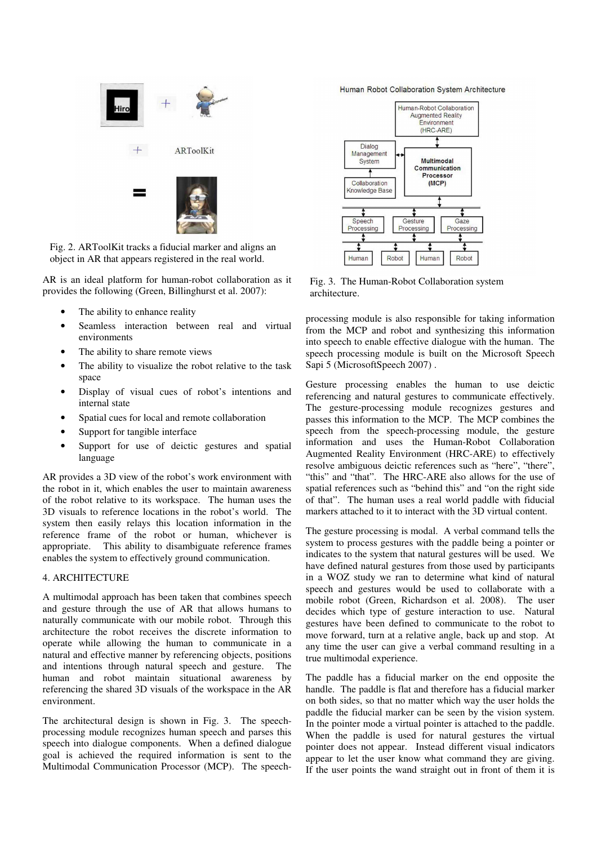

Fig. 2. ARToolKit tracks a fiducial marker and aligns an object in AR that appears registered in the real world.

AR is an ideal platform for human-robot collaboration as it provides the following (Green, Billinghurst et al. 2007):

- The ability to enhance reality
- Seamless interaction between real and virtual environments
- The ability to share remote views
- The ability to visualize the robot relative to the task space
- Display of visual cues of robot's intentions and internal state
- Spatial cues for local and remote collaboration
- Support for tangible interface
- Support for use of deictic gestures and spatial language

AR provides a 3D view of the robot's work environment with the robot in it, which enables the user to maintain awareness of the robot relative to its workspace. The human uses the 3D visuals to reference locations in the robot's world. The system then easily relays this location information in the reference frame of the robot or human, whichever is appropriate. This ability to disambiguate reference frames enables the system to effectively ground communication.

#### 4. ARCHITECTURE

A multimodal approach has been taken that combines speech and gesture through the use of AR that allows humans to naturally communicate with our mobile robot. Through this architecture the robot receives the discrete information to operate while allowing the human to communicate in a natural and effective manner by referencing objects, positions and intentions through natural speech and gesture. The human and robot maintain situational awareness by referencing the shared 3D visuals of the workspace in the AR environment.

The architectural design is shown in Fig. 3. The speechprocessing module recognizes human speech and parses this speech into dialogue components. When a defined dialogue goal is achieved the required information is sent to the Multimodal Communication Processor (MCP). The speech-

Human Robot Collaboration System Architecture



Fig. 3. The Human-Robot Collaboration system architecture.

processing module is also responsible for taking information from the MCP and robot and synthesizing this information into speech to enable effective dialogue with the human. The speech processing module is built on the Microsoft Speech Sapi 5 (MicrosoftSpeech 2007) .

Gesture processing enables the human to use deictic referencing and natural gestures to communicate effectively. The gesture-processing module recognizes gestures and passes this information to the MCP. The MCP combines the speech from the speech-processing module, the gesture information and uses the Human-Robot Collaboration Augmented Reality Environment (HRC-ARE) to effectively resolve ambiguous deictic references such as "here", "there", "this" and "that". The HRC-ARE also allows for the use of spatial references such as "behind this" and "on the right side of that". The human uses a real world paddle with fiducial markers attached to it to interact with the 3D virtual content.

The gesture processing is modal. A verbal command tells the system to process gestures with the paddle being a pointer or indicates to the system that natural gestures will be used. We have defined natural gestures from those used by participants in a WOZ study we ran to determine what kind of natural speech and gestures would be used to collaborate with a mobile robot (Green, Richardson et al. 2008). The user decides which type of gesture interaction to use. Natural gestures have been defined to communicate to the robot to move forward, turn at a relative angle, back up and stop. At any time the user can give a verbal command resulting in a true multimodal experience.

The paddle has a fiducial marker on the end opposite the handle. The paddle is flat and therefore has a fiducial marker on both sides, so that no matter which way the user holds the paddle the fiducial marker can be seen by the vision system. In the pointer mode a virtual pointer is attached to the paddle. When the paddle is used for natural gestures the virtual pointer does not appear. Instead different visual indicators appear to let the user know what command they are giving. If the user points the wand straight out in front of them it is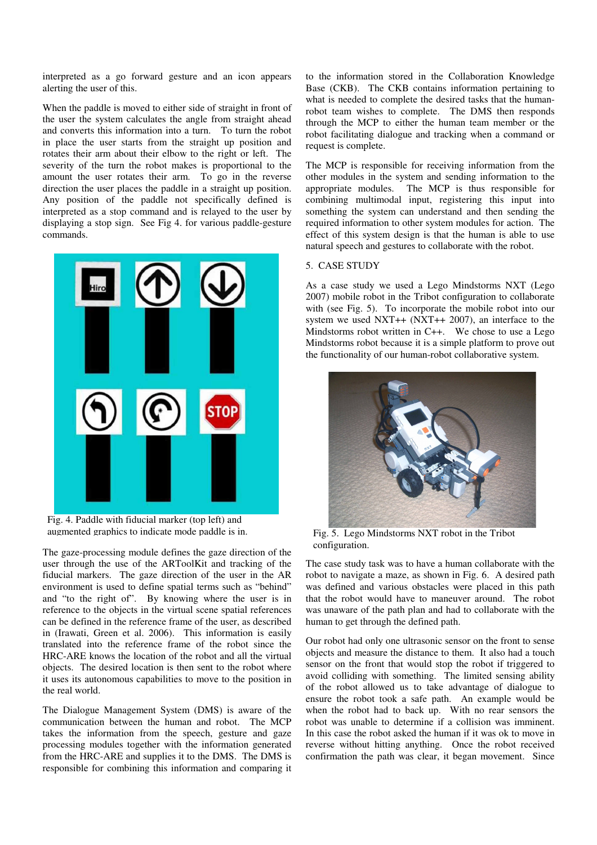interpreted as a go forward gesture and an icon appears alerting the user of this.

When the paddle is moved to either side of straight in front of the user the system calculates the angle from straight ahead and converts this information into a turn. To turn the robot in place the user starts from the straight up position and rotates their arm about their elbow to the right or left. The severity of the turn the robot makes is proportional to the amount the user rotates their arm. To go in the reverse direction the user places the paddle in a straight up position. Any position of the paddle not specifically defined is interpreted as a stop command and is relayed to the user by displaying a stop sign. See Fig 4. for various paddle-gesture commands.



Fig. 4. Paddle with fiducial marker (top left) and

The gaze-processing module defines the gaze direction of the user through the use of the ARToolKit and tracking of the fiducial markers. The gaze direction of the user in the AR environment is used to define spatial terms such as "behind" and "to the right of". By knowing where the user is in reference to the objects in the virtual scene spatial references can be defined in the reference frame of the user, as described in (Irawati, Green et al. 2006). This information is easily translated into the reference frame of the robot since the HRC-ARE knows the location of the robot and all the virtual objects. The desired location is then sent to the robot where it uses its autonomous capabilities to move to the position in the real world.

The Dialogue Management System (DMS) is aware of the communication between the human and robot. The MCP takes the information from the speech, gesture and gaze processing modules together with the information generated from the HRC-ARE and supplies it to the DMS. The DMS is responsible for combining this information and comparing it to the information stored in the Collaboration Knowledge Base (CKB). The CKB contains information pertaining to what is needed to complete the desired tasks that the humanrobot team wishes to complete. The DMS then responds through the MCP to either the human team member or the robot facilitating dialogue and tracking when a command or request is complete.

The MCP is responsible for receiving information from the other modules in the system and sending information to the appropriate modules. The MCP is thus responsible for combining multimodal input, registering this input into something the system can understand and then sending the required information to other system modules for action. The effect of this system design is that the human is able to use natural speech and gestures to collaborate with the robot.

### 5. CASE STUDY

As a case study we used a Lego Mindstorms NXT (Lego 2007) mobile robot in the Tribot configuration to collaborate with (see Fig. 5). To incorporate the mobile robot into our system we used NXT++ (NXT++ 2007), an interface to the Mindstorms robot written in C++. We chose to use a Lego Mindstorms robot because it is a simple platform to prove out the functionality of our human-robot collaborative system.



augmented graphics to indicate mode paddle is in. Fig. 5. Lego Mindstorms NXT robot in the Tribot configuration.

The case study task was to have a human collaborate with the robot to navigate a maze, as shown in Fig. 6. A desired path was defined and various obstacles were placed in this path that the robot would have to maneuver around. The robot was unaware of the path plan and had to collaborate with the human to get through the defined path.

Our robot had only one ultrasonic sensor on the front to sense objects and measure the distance to them. It also had a touch sensor on the front that would stop the robot if triggered to avoid colliding with something. The limited sensing ability of the robot allowed us to take advantage of dialogue to ensure the robot took a safe path. An example would be when the robot had to back up. With no rear sensors the robot was unable to determine if a collision was imminent. In this case the robot asked the human if it was ok to move in reverse without hitting anything. Once the robot received confirmation the path was clear, it began movement. Since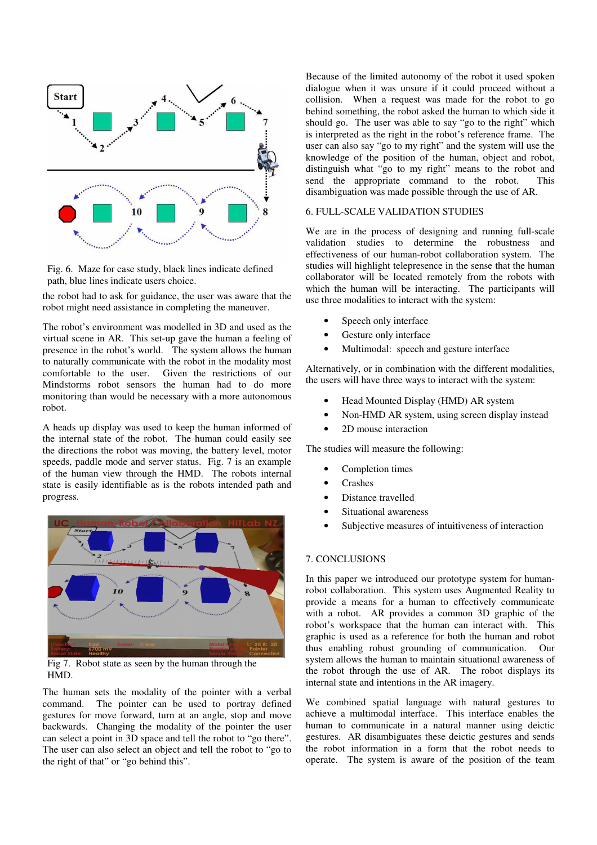

Fig. 6. Maze for case study, black lines indicate defined path, blue lines indicate users choice.

the robot had to ask for guidance, the user was aware that the robot might need assistance in completing the maneuver.

The robot's environment was modelled in 3D and used as the virtual scene in AR. This set-up gave the human a feeling of presence in the robot's world. The system allows the human to naturally communicate with the robot in the modality most comfortable to the user. Given the restrictions of our Mindstorms robot sensors the human had to do more monitoring than would be necessary with a more autonomous robot.

A heads up display was used to keep the human informed of the internal state of the robot. The human could easily see the directions the robot was moving, the battery level, motor speeds, paddle mode and server status. Fig. 7 is an example of the human view through the HMD. The robots internal state is easily identifiable as is the robots intended path and progress.



Fig 7. Robot state as seen by the human through the HMD.

The human sets the modality of the pointer with a verbal command. The pointer can be used to portray defined gestures for move forward, turn at an angle, stop and move backwards. Changing the modality of the pointer the user can select a point in 3D space and tell the robot to "go there". The user can also select an object and tell the robot to "go to the right of that" or "go behind this".

Because of the limited autonomy of the robot it used spoken dialogue when it was unsure if it could proceed without a collision. When a request was made for the robot to go behind something, the robot asked the human to which side it should go. The user was able to say "go to the right" which is interpreted as the right in the robot's reference frame. The user can also say "go to my right" and the system will use the knowledge of the position of the human, object and robot, distinguish what "go to my right" means to the robot and send the appropriate command to the robot. This disambiguation was made possible through the use of AR.

#### 6. FULL-SCALE VALIDATION STUDIES

We are in the process of designing and running full-scale validation studies to determine the robustness and effectiveness of our human-robot collaboration system. The studies will highlight telepresence in the sense that the human collaborator will be located remotely from the robots with which the human will be interacting. The participants will use three modalities to interact with the system:

- Speech only interface
- Gesture only interface
- Multimodal: speech and gesture interface

Alternatively, or in combination with the different modalities, the users will have three ways to interact with the system:

- Head Mounted Display (HMD) AR system
- Non-HMD AR system, using screen display instead
- 2D mouse interaction

The studies will measure the following:

- Completion times
- **Crashes**
- Distance travelled
- Situational awareness
- Subjective measures of intuitiveness of interaction

# 7. CONCLUSIONS

In this paper we introduced our prototype system for humanrobot collaboration. This system uses Augmented Reality to provide a means for a human to effectively communicate with a robot. AR provides a common 3D graphic of the robot's workspace that the human can interact with. This graphic is used as a reference for both the human and robot thus enabling robust grounding of communication. Our system allows the human to maintain situational awareness of the robot through the use of AR. The robot displays its internal state and intentions in the AR imagery.

We combined spatial language with natural gestures to achieve a multimodal interface. This interface enables the human to communicate in a natural manner using deictic gestures. AR disambiguates these deictic gestures and sends the robot information in a form that the robot needs to operate. The system is aware of the position of the team